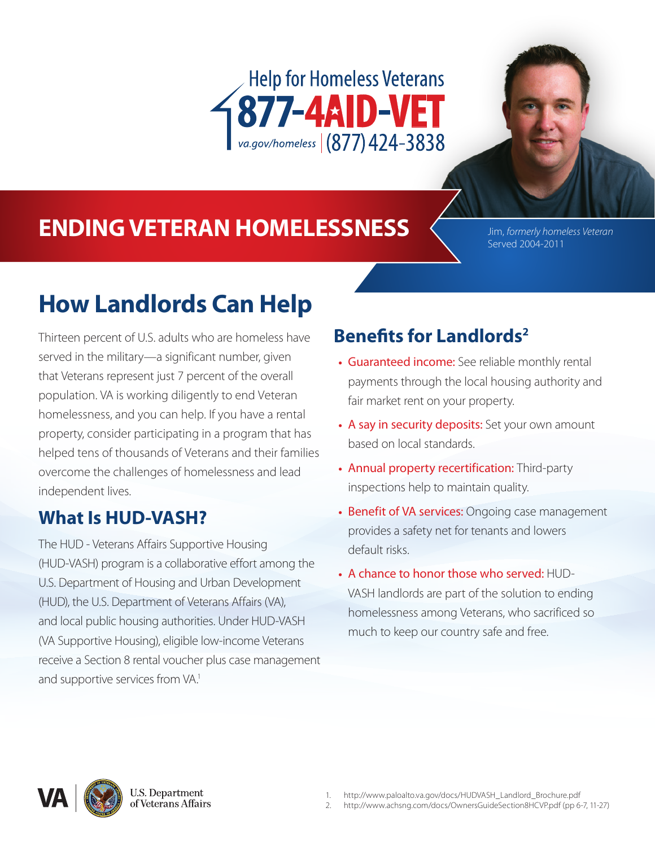



# **ENDING VETERAN HOMELESSNESS** Jim, *formerly homeless Veteran*

Served 2004-2011

# **How Landlords Can Help**

Thirteen percent of U.S. adults who are homeless have served in the military—a significant number, given that Veterans represent just 7 percent of the overall population. VA is working diligently to end Veteran homelessness, and you can help. If you have a rental property, consider participating in a program that has helped tens of thousands of Veterans and their families overcome the challenges of homelessness and lead independent lives.

## **What Is HUD-VASH?**

The HUD - Veterans Affairs Supportive Housing (HUD-VASH) program is a collaborative effort among the U.S. Department of Housing and Urban Development (HUD), the U.S. Department of Veterans Affairs (VA), and local public housing authorities. Under HUD-VASH (VA Supportive Housing), eligible low-income Veterans receive a Section 8 rental voucher plus case management and supportive services from VA.<sup>1</sup>

## **Benefits for Landlords2**

- **•** Guaranteed income: See reliable monthly rental payments through the local housing authority and fair market rent on your property.
- **•** A say in security deposits: Set your own amount based on local standards.
- **•** Annual property recertification: Third-party inspections help to maintain quality.
- **•** Benefit of VA services: Ongoing case management provides a safety net for tenants and lowers default risks.
- **•** A chance to honor those who served: HUD-VASH landlords are part of the solution to ending homelessness among Veterans, who sacrificed so much to keep our country safe and free.



**U.S. Department** of Veterans Affairs

- 1. http://www.paloalto.va.gov/docs/HUDVASH\_Landlord\_Brochure.pdf
- $\mathfrak{Z}$ http://www.achsng.com/docs/OwnersGuideSection8HCVP.pdf (pp 6-7, 11-27)